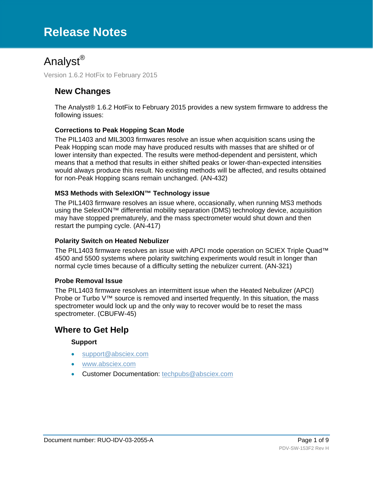# **Release Notes**

# Analyst®

Version 1.6.2 HotFix to February 2015

### **New Changes**

The Analyst® 1.6.2 HotFix to February 2015 provides a new system firmware to address the following issues:

### **Corrections to Peak Hopping Scan Mode**

The PIL1403 and MIL3003 firmwares resolve an issue when acquisition scans using the Peak Hopping scan mode may have produced results with masses that are shifted or of lower intensity than expected. The results were method-dependent and persistent, which means that a method that results in either shifted peaks or lower-than-expected intensities would always produce this result. No existing methods will be affected, and results obtained for non-Peak Hopping scans remain unchanged. (AN-432)

#### **MS3 Methods with SelexION™ Technology issue**

The PIL1403 firmware resolves an issue where, occasionally, when running MS3 methods using the SelexION™ differential mobility separation (DMS) technology device, acquisition may have stopped prematurely, and the mass spectrometer would shut down and then restart the pumping cycle. (AN-417)

#### **Polarity Switch on Heated Nebulizer**

The PIL1403 firmware resolves an issue with APCI mode operation on SCIEX Triple Quad™ 4500 and 5500 systems where polarity switching experiments would result in longer than normal cycle times because of a difficulty setting the nebulizer current. (AN-321)

#### **Probe Removal Issue**

The PIL1403 firmware resolves an intermittent issue when the Heated Nebulizer (APCI) Probe or Turbo V™ source is removed and inserted frequently. In this situation, the mass spectrometer would lock up and the only way to recover would be to reset the mass spectrometer. [\(CBUFW-45\)](http://amcon-jirasrv1.netadds.net/browse/CBUFW-45)

### **Where to Get Help**

#### **Support**

- support@absciex.com
- [www.absciex.com](http://www.absciex.com/)
- Customer Documentation: [techpubs@absciex.com](mailto:techpubs@absciex.com)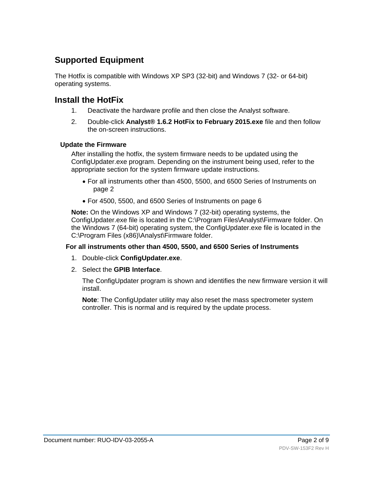## **Supported Equipment**

The Hotfix is compatible with Windows XP SP3 (32-bit) and Windows 7 (32- or 64-bit) operating systems.

### **Install the HotFix**

- 1. Deactivate the hardware profile and then close the Analyst software.
- 2. Double-click **Analyst® 1.6.2 HotFix to February 2015.exe** file and then follow the on-screen instructions.

### **Update the Firmware**

After installing the hotfix, the system firmware needs to be updated using the ConfigUpdater.exe program. Depending on the instrument being used, refer to the appropriate section for the system firmware update instructions.

- For all instruments other than 4500, 5500, and 6500 Series of Instruments on page 2
- For 4500, 5500, and 6500 Series of Instruments on page 6

**Note:** On the Windows XP and Windows 7 (32-bit) operating systems, the ConfigUpdater.exe file is located in the C:\Program Files\Analyst\Firmware folder. On the Windows 7 (64-bit) operating system, the ConfigUpdater.exe file is located in the C:\Program Files (x86)\Analyst\Firmware folder.

### **For all instruments other than 4500, 5500, and 6500 Series of Instruments**

- 1. Double-click **ConfigUpdater.exe**.
- 2. Select the **GPIB Interface**.

The ConfigUpdater program is shown and identifies the new firmware version it will install.

**Note**: The ConfigUpdater utility may also reset the mass spectrometer system controller. This is normal and is required by the update process.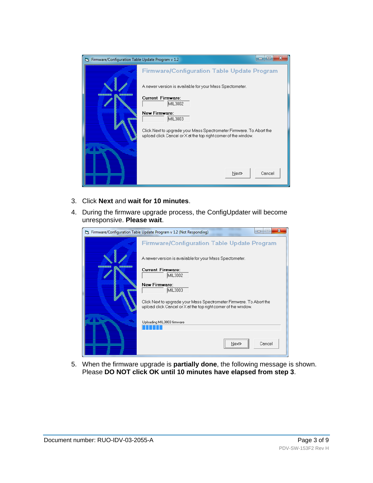

- 3. Click **Next** and **wait for 10 minutes**.
- 4. During the firmware upgrade process, the ConfigUpdater will become unresponsive. **Please wait**.

| [ Firmware/Configuration Table Update Program v 1.2 (Not Responding)<br>$\Box$ |                                                                                                                                        |  |
|--------------------------------------------------------------------------------|----------------------------------------------------------------------------------------------------------------------------------------|--|
|                                                                                | <b>Firmware/Configuration Table Update Program</b>                                                                                     |  |
|                                                                                | A newer version is available for your Mass Spectometer.                                                                                |  |
|                                                                                | <b>Current Firmware:</b><br>MIL3002                                                                                                    |  |
|                                                                                | <b>New Firmware:</b><br>MIL3003                                                                                                        |  |
|                                                                                | Click Next to upgrade your Mass Spectrometer Firmware. To Abort the<br>upload click Cancel or X at the top right corner of the window. |  |
|                                                                                | Uploading MIL3003 firmware                                                                                                             |  |
|                                                                                | <br>Cancel<br>Next.<br>                                                                                                                |  |

5. When the firmware upgrade is **partially done**, the following message is shown. Please **DO NOT click OK until 10 minutes have elapsed from step 3**.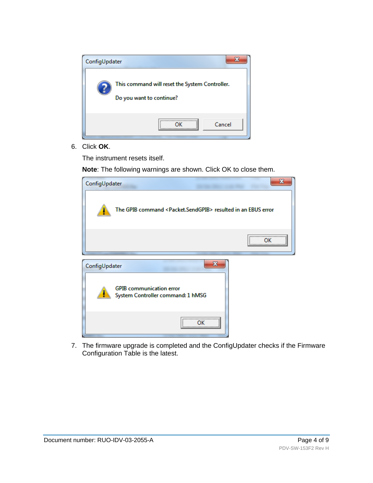

6. Click **OK**.

The instrument resets itself.

**Note**: The following warnings are shown. Click OK to close them.

| х<br>ConfigUpdater |                                                                                |  |
|--------------------|--------------------------------------------------------------------------------|--|
|                    | The GPIB command <packet.sendgpib> resulted in an EBUS error</packet.sendgpib> |  |
|                    |                                                                                |  |
| ConfigUpdater      | x                                                                              |  |
|                    | <b>GPIB</b> communication error<br>System Controller command: 1 hMSG           |  |
|                    |                                                                                |  |

7. The firmware upgrade is completed and the ConfigUpdater checks if the Firmware Configuration Table is the latest.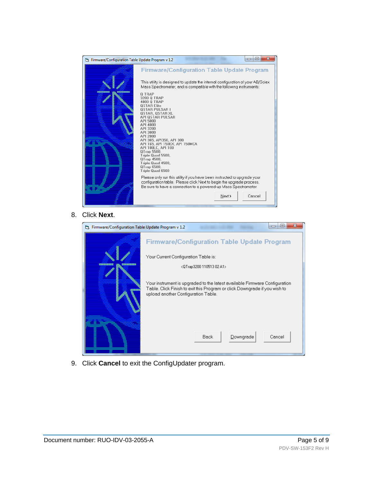

8. Click **Next**.

| 5]. Firmware/Configuration Table Update Program v 1.2 | x<br>$\blacksquare$                                                                                                                                                                             |
|-------------------------------------------------------|-------------------------------------------------------------------------------------------------------------------------------------------------------------------------------------------------|
|                                                       | <b>Firmware/Configuration Table Update Program</b>                                                                                                                                              |
|                                                       | Your Current Configuration Table is:                                                                                                                                                            |
|                                                       | <qtrap3200 02="" 110513="" a1=""></qtrap3200>                                                                                                                                                   |
|                                                       | Your instrument is upgraded to the latest available Firmware Configuration<br>Table. Click Finish to exit this Program or click Downgrade if you wish to<br>upload another Configuration Table. |
|                                                       | Downgrade<br><b>Back</b><br>Cancel                                                                                                                                                              |

9. Click **Cancel** to exit the ConfigUpdater program.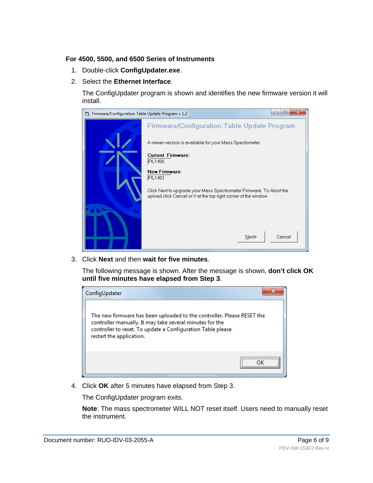### **For 4500, 5500, and 6500 Series of Instruments**

- 1. Double-click **ConfigUpdater.exe**.
- 2. Select the **Ethernet Interface**.

The ConfigUpdater program is shown and identifies the new firmware version it will install.



3. Click **Next** and then **wait for five minutes**.

The following message is shown. After the message is shown, **don't click OK until five minutes have elapsed from Step 3**.



4. Click **OK** after 5 minutes have elapsed from Step 3.

The ConfigUpdater program exits.

**Note**: The mass spectrometer WILL NOT reset itself. Users need to manually reset the instrument.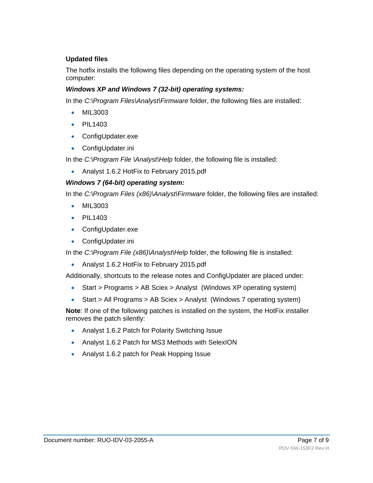### **Updated files**

The hotfix installs the following files depending on the operating system of the host computer:

### *Windows XP and Windows 7 (32-bit) operating systems:*

In the *C:\Program Files\Analyst\Firmware* folder, the following files are installed:

- MIL3003
- PIL1403
- ConfigUpdater.exe
- ConfigUpdater.ini

In the *C:\Program File \Analyst\Help* folder, the following file is installed:

• Analyst 1.6.2 HotFix to February 2015.pdf

### *Windows 7 (64-bit) operating system:*

In the *C:\Program Files (x86)\Analyst\Firmware* folder, the following files are installed:

- MIL3003
- PIL1403
- ConfigUpdater.exe
- ConfigUpdater.ini

In the *C:\Program File (x86)\Analyst\Help* folder, the following file is installed:

• Analyst 1.6.2 HotFix to February 2015.pdf

Additionally, shortcuts to the release notes and ConfigUpdater are placed under:

- Start > Programs > AB Sciex > Analyst (Windows XP operating system)
- Start > All Programs > AB Sciex > Analyst (Windows 7 operating system)

**Note**: If one of the following patches is installed on the system, the HotFix installer removes the patch silently:

- Analyst 1.6.2 Patch for Polarity Switching Issue
- Analyst 1.6.2 Patch for MS3 Methods with SelexION
- Analyst 1.6.2 patch for Peak Hopping Issue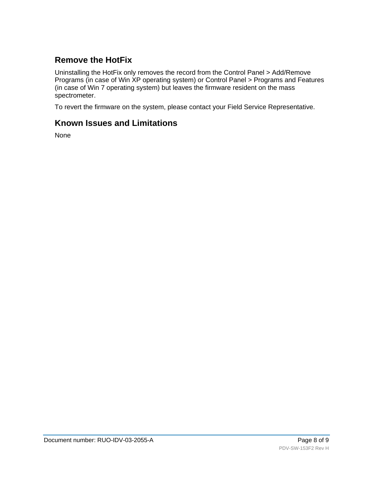## **Remove the HotFix**

Uninstalling the HotFix only removes the record from the Control Panel > Add/Remove Programs (in case of Win XP operating system) or Control Panel > Programs and Features (in case of Win 7 operating system) but leaves the firmware resident on the mass spectrometer.

To revert the firmware on the system, please contact your Field Service Representative.

### **Known Issues and Limitations**

None